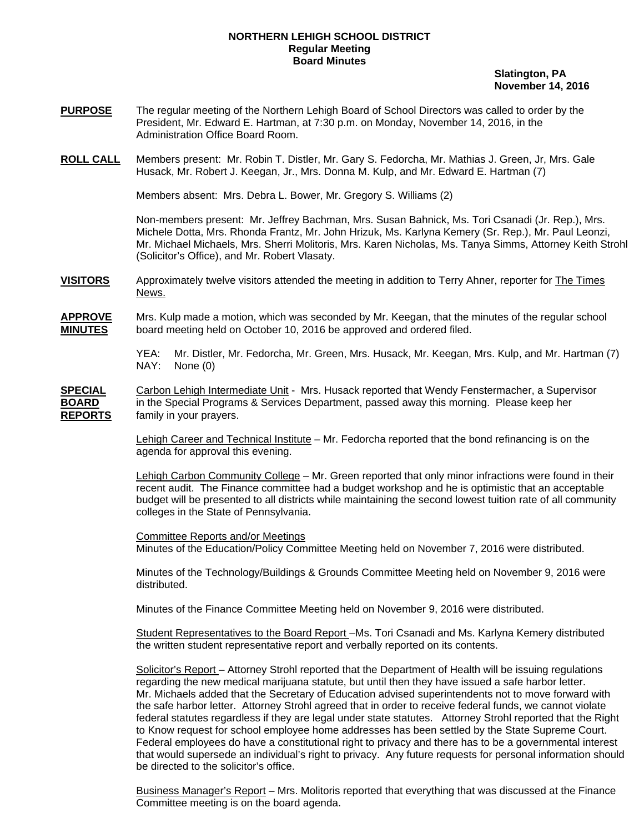## **NORTHERN LEHIGH SCHOOL DISTRICT Regular Meeting Board Minutes**

 **Slatington, PA November 14, 2016** 

- **PURPOSE** The regular meeting of the Northern Lehigh Board of School Directors was called to order by the President, Mr. Edward E. Hartman, at 7:30 p.m. on Monday, November 14, 2016, in the Administration Office Board Room.
- **ROLL CALL** Members present: Mr. Robin T. Distler, Mr. Gary S. Fedorcha, Mr. Mathias J. Green, Jr, Mrs. Gale Husack, Mr. Robert J. Keegan, Jr., Mrs. Donna M. Kulp, and Mr. Edward E. Hartman (7)

Members absent: Mrs. Debra L. Bower, Mr. Gregory S. Williams (2)

Non-members present: Mr. Jeffrey Bachman, Mrs. Susan Bahnick, Ms. Tori Csanadi (Jr. Rep.), Mrs. Michele Dotta, Mrs. Rhonda Frantz, Mr. John Hrizuk, Ms. Karlyna Kemery (Sr. Rep.), Mr. Paul Leonzi, Mr. Michael Michaels, Mrs. Sherri Molitoris, Mrs. Karen Nicholas, Ms. Tanya Simms, Attorney Keith Strohl (Solicitor's Office), and Mr. Robert Vlasaty.

- **VISITORS** Approximately twelve visitors attended the meeting in addition to Terry Ahner, reporter for The Times News.
- **APPROVE** Mrs. Kulp made a motion, which was seconded by Mr. Keegan, that the minutes of the regular school **MINUTES** board meeting held on October 10, 2016 be approved and ordered filed.

 YEA: Mr. Distler, Mr. Fedorcha, Mr. Green, Mrs. Husack, Mr. Keegan, Mrs. Kulp, and Mr. Hartman (7) NAY: None (0)

**SPECIAL** Carbon Lehigh Intermediate Unit - Mrs. Husack reported that Wendy Fenstermacher, a Supervisor **BOARD** in the Special Programs & Services Department, passed away this morning. Please keep her **REPORTS** family in your prayers.

> Lehigh Career and Technical Institute – Mr. Fedorcha reported that the bond refinancing is on the agenda for approval this evening.

Lehigh Carbon Community College – Mr. Green reported that only minor infractions were found in their recent audit. The Finance committee had a budget workshop and he is optimistic that an acceptable budget will be presented to all districts while maintaining the second lowest tuition rate of all community colleges in the State of Pennsylvania.

 Committee Reports and/or Meetings Minutes of the Education/Policy Committee Meeting held on November 7, 2016 were distributed.

 Minutes of the Technology/Buildings & Grounds Committee Meeting held on November 9, 2016 were distributed.

Minutes of the Finance Committee Meeting held on November 9, 2016 were distributed.

 Student Representatives to the Board Report –Ms. Tori Csanadi and Ms. Karlyna Kemery distributed the written student representative report and verbally reported on its contents.

 Solicitor's Report – Attorney Strohl reported that the Department of Health will be issuing regulations regarding the new medical marijuana statute, but until then they have issued a safe harbor letter. Mr. Michaels added that the Secretary of Education advised superintendents not to move forward with the safe harbor letter. Attorney Strohl agreed that in order to receive federal funds, we cannot violate federal statutes regardless if they are legal under state statutes. Attorney Strohl reported that the Right to Know request for school employee home addresses has been settled by the State Supreme Court. Federal employees do have a constitutional right to privacy and there has to be a governmental interest that would supersede an individual's right to privacy. Any future requests for personal information should be directed to the solicitor's office.

Business Manager's Report – Mrs. Molitoris reported that everything that was discussed at the Finance Committee meeting is on the board agenda.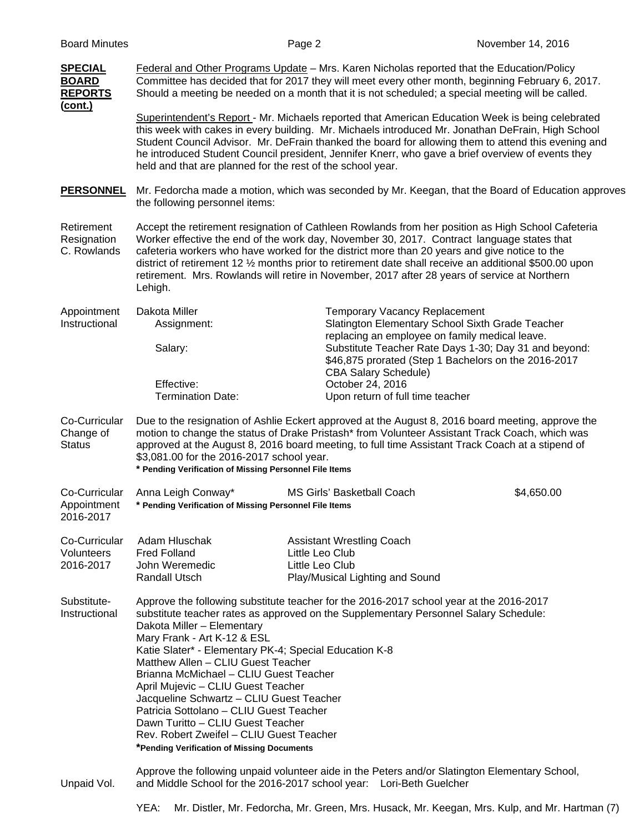| <b>SPECIAL</b><br><b>BOARD</b><br><b>REPORTS</b><br>(cont.) | Federal and Other Programs Update - Mrs. Karen Nicholas reported that the Education/Policy<br>Committee has decided that for 2017 they will meet every other month, beginning February 6, 2017.<br>Should a meeting be needed on a month that it is not scheduled; a special meeting will be called.                                                                                                                                                                                                                                                                                                                                               |                                                                                                                                                                                                                                                                                                                                                                                                                   |            |  |  |
|-------------------------------------------------------------|----------------------------------------------------------------------------------------------------------------------------------------------------------------------------------------------------------------------------------------------------------------------------------------------------------------------------------------------------------------------------------------------------------------------------------------------------------------------------------------------------------------------------------------------------------------------------------------------------------------------------------------------------|-------------------------------------------------------------------------------------------------------------------------------------------------------------------------------------------------------------------------------------------------------------------------------------------------------------------------------------------------------------------------------------------------------------------|------------|--|--|
|                                                             | held and that are planned for the rest of the school year.                                                                                                                                                                                                                                                                                                                                                                                                                                                                                                                                                                                         | Superintendent's Report - Mr. Michaels reported that American Education Week is being celebrated<br>this week with cakes in every building. Mr. Michaels introduced Mr. Jonathan DeFrain, High School<br>Student Council Advisor. Mr. DeFrain thanked the board for allowing them to attend this evening and<br>he introduced Student Council president, Jennifer Knerr, who gave a brief overview of events they |            |  |  |
| <b>PERSONNEL</b>                                            | Mr. Fedorcha made a motion, which was seconded by Mr. Keegan, that the Board of Education approves<br>the following personnel items:                                                                                                                                                                                                                                                                                                                                                                                                                                                                                                               |                                                                                                                                                                                                                                                                                                                                                                                                                   |            |  |  |
| Retirement<br>Resignation<br>C. Rowlands                    | Accept the retirement resignation of Cathleen Rowlands from her position as High School Cafeteria<br>Worker effective the end of the work day, November 30, 2017. Contract language states that<br>cafeteria workers who have worked for the district more than 20 years and give notice to the<br>district of retirement 12 1/ <sub>2</sub> months prior to retirement date shall receive an additional \$500.00 upon<br>retirement. Mrs. Rowlands will retire in November, 2017 after 28 years of service at Northern<br>Lehigh.                                                                                                                 |                                                                                                                                                                                                                                                                                                                                                                                                                   |            |  |  |
| Appointment<br>Instructional                                | Dakota Miller<br>Assignment:                                                                                                                                                                                                                                                                                                                                                                                                                                                                                                                                                                                                                       | <b>Temporary Vacancy Replacement</b><br>Slatington Elementary School Sixth Grade Teacher<br>replacing an employee on family medical leave.                                                                                                                                                                                                                                                                        |            |  |  |
|                                                             | Salary:                                                                                                                                                                                                                                                                                                                                                                                                                                                                                                                                                                                                                                            | Substitute Teacher Rate Days 1-30; Day 31 and beyond:<br>\$46,875 prorated (Step 1 Bachelors on the 2016-2017<br><b>CBA Salary Schedule)</b>                                                                                                                                                                                                                                                                      |            |  |  |
|                                                             | Effective:<br><b>Termination Date:</b>                                                                                                                                                                                                                                                                                                                                                                                                                                                                                                                                                                                                             | October 24, 2016<br>Upon return of full time teacher                                                                                                                                                                                                                                                                                                                                                              |            |  |  |
| Co-Curricular<br>Change of<br><b>Status</b>                 | Due to the resignation of Ashlie Eckert approved at the August 8, 2016 board meeting, approve the<br>motion to change the status of Drake Pristash* from Volunteer Assistant Track Coach, which was<br>approved at the August 8, 2016 board meeting, to full time Assistant Track Coach at a stipend of<br>\$3,081.00 for the 2016-2017 school year.<br>* Pending Verification of Missing Personnel File Items                                                                                                                                                                                                                                     |                                                                                                                                                                                                                                                                                                                                                                                                                   |            |  |  |
| Co-Curricular<br>Appointment<br>2016-2017                   | Anna Leigh Conway*<br>* Pending Verification of Missing Personnel File Items                                                                                                                                                                                                                                                                                                                                                                                                                                                                                                                                                                       | <b>MS Girls' Basketball Coach</b>                                                                                                                                                                                                                                                                                                                                                                                 | \$4,650.00 |  |  |
| Co-Curricular<br>Volunteers<br>2016-2017                    | Adam Hluschak<br><b>Fred Folland</b><br>John Weremedic<br><b>Randall Utsch</b>                                                                                                                                                                                                                                                                                                                                                                                                                                                                                                                                                                     | <b>Assistant Wrestling Coach</b><br>Little Leo Club<br>Little Leo Club<br>Play/Musical Lighting and Sound                                                                                                                                                                                                                                                                                                         |            |  |  |
| Substitute-<br>Instructional                                | Approve the following substitute teacher for the 2016-2017 school year at the 2016-2017<br>substitute teacher rates as approved on the Supplementary Personnel Salary Schedule:<br>Dakota Miller - Elementary<br>Mary Frank - Art K-12 & ESL<br>Katie Slater* - Elementary PK-4; Special Education K-8<br>Matthew Allen - CLIU Guest Teacher<br>Brianna McMichael - CLIU Guest Teacher<br>April Mujevic - CLIU Guest Teacher<br>Jacqueline Schwartz - CLIU Guest Teacher<br>Patricia Sottolano - CLIU Guest Teacher<br>Dawn Turitto - CLIU Guest Teacher<br>Rev. Robert Zweifel - CLIU Guest Teacher<br>*Pending Verification of Missing Documents |                                                                                                                                                                                                                                                                                                                                                                                                                   |            |  |  |
| Unpaid Vol.                                                 | Approve the following unpaid volunteer aide in the Peters and/or Slatington Elementary School,<br>and Middle School for the 2016-2017 school year: Lori-Beth Guelcher                                                                                                                                                                                                                                                                                                                                                                                                                                                                              |                                                                                                                                                                                                                                                                                                                                                                                                                   |            |  |  |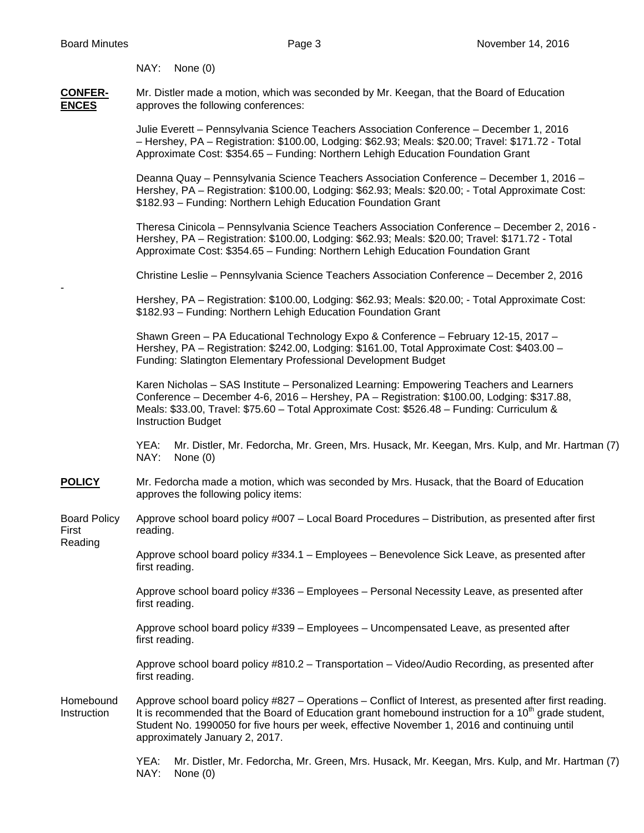## NAY: None (0)

**CONFER-** Mr. Distler made a motion, which was seconded by Mr. Keegan, that the Board of Education **ENCES** approves the following conferences:

> Julie Everett – Pennsylvania Science Teachers Association Conference – December 1, 2016 – Hershey, PA – Registration: \$100.00, Lodging: \$62.93; Meals: \$20.00; Travel: \$171.72 - Total Approximate Cost: \$354.65 – Funding: Northern Lehigh Education Foundation Grant

Deanna Quay – Pennsylvania Science Teachers Association Conference – December 1, 2016 – Hershey, PA – Registration: \$100.00, Lodging: \$62.93; Meals: \$20.00; - Total Approximate Cost: \$182.93 – Funding: Northern Lehigh Education Foundation Grant

 Theresa Cinicola – Pennsylvania Science Teachers Association Conference – December 2, 2016 - Hershey, PA – Registration: \$100.00, Lodging: \$62.93; Meals: \$20.00; Travel: \$171.72 - Total Approximate Cost: \$354.65 – Funding: Northern Lehigh Education Foundation Grant

Christine Leslie – Pennsylvania Science Teachers Association Conference – December 2, 2016

Hershey, PA – Registration: \$100.00, Lodging: \$62.93; Meals: \$20.00; - Total Approximate Cost: \$182.93 – Funding: Northern Lehigh Education Foundation Grant

 Shawn Green – PA Educational Technology Expo & Conference – February 12-15, 2017 – Hershey, PA – Registration: \$242.00, Lodging: \$161.00, Total Approximate Cost: \$403.00 – Funding: Slatington Elementary Professional Development Budget

 Karen Nicholas – SAS Institute – Personalized Learning: Empowering Teachers and Learners Conference – December 4-6, 2016 – Hershey, PA – Registration: \$100.00, Lodging: \$317.88, Meals: \$33.00, Travel: \$75.60 – Total Approximate Cost: \$526.48 – Funding: Curriculum & Instruction Budget

 YEA: Mr. Distler, Mr. Fedorcha, Mr. Green, Mrs. Husack, Mr. Keegan, Mrs. Kulp, and Mr. Hartman (7) NAY: None (0)

- **POLICY** Mr. Fedorcha made a motion, which was seconded by Mrs. Husack, that the Board of Education approves the following policy items:
- Board Policy Approve school board policy #007 Local Board Procedures Distribution, as presented after first First reading.

Reading

-

Approve school board policy #334.1 – Employees – Benevolence Sick Leave, as presented after first reading.

Approve school board policy #336 – Employees – Personal Necessity Leave, as presented after first reading.

Approve school board policy #339 – Employees – Uncompensated Leave, as presented after first reading.

Approve school board policy #810.2 – Transportation – Video/Audio Recording, as presented after first reading.

Homebound Approve school board policy #827 – Operations – Conflict of Interest, as presented after first reading. Instruction It is recommended that the Board of Education grant homebound instruction for a 10<sup>th</sup> grade student, Student No. 1990050 for five hours per week, effective November 1, 2016 and continuing until approximately January 2, 2017.

> YEA: Mr. Distler, Mr. Fedorcha, Mr. Green, Mrs. Husack, Mr. Keegan, Mrs. Kulp, and Mr. Hartman (7) NAY: None (0)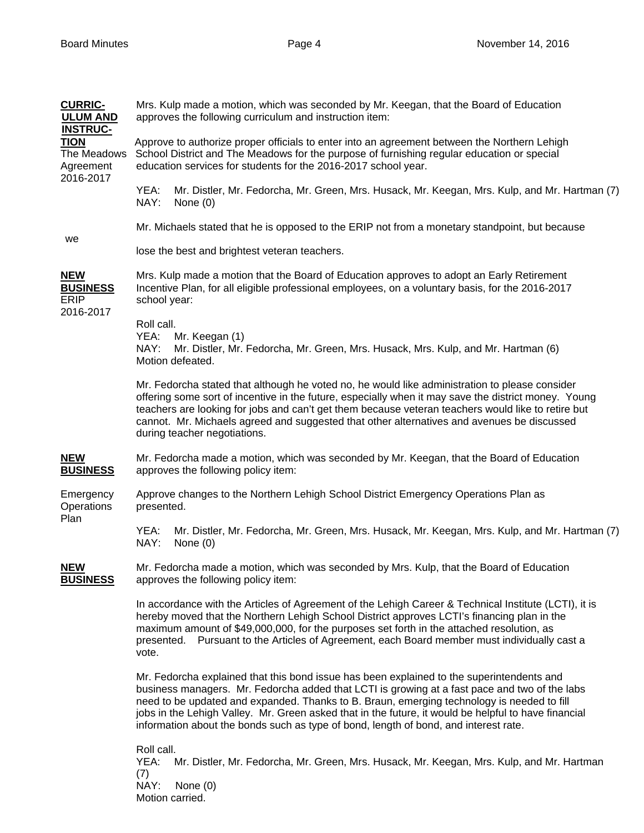| <b>CURRIC-</b><br><b>ULUM AND</b>                          | Mrs. Kulp made a motion, which was seconded by Mr. Keegan, that the Board of Education<br>approves the following curriculum and instruction item:                                                                                                                                                                                                                                                                                                                                        |                                                                                                                         |  |  |
|------------------------------------------------------------|------------------------------------------------------------------------------------------------------------------------------------------------------------------------------------------------------------------------------------------------------------------------------------------------------------------------------------------------------------------------------------------------------------------------------------------------------------------------------------------|-------------------------------------------------------------------------------------------------------------------------|--|--|
| <b>INSTRUC-</b><br><b>TION</b><br>The Meadows<br>Agreement | Approve to authorize proper officials to enter into an agreement between the Northern Lehigh<br>School District and The Meadows for the purpose of furnishing regular education or special<br>education services for students for the 2016-2017 school year.                                                                                                                                                                                                                             |                                                                                                                         |  |  |
| 2016-2017                                                  | YEA:<br>NAY:                                                                                                                                                                                                                                                                                                                                                                                                                                                                             | Mr. Distler, Mr. Fedorcha, Mr. Green, Mrs. Husack, Mr. Keegan, Mrs. Kulp, and Mr. Hartman (7)<br>None $(0)$             |  |  |
| we                                                         | Mr. Michaels stated that he is opposed to the ERIP not from a monetary standpoint, but because                                                                                                                                                                                                                                                                                                                                                                                           |                                                                                                                         |  |  |
|                                                            | lose the best and brightest veteran teachers.                                                                                                                                                                                                                                                                                                                                                                                                                                            |                                                                                                                         |  |  |
| <b>NEW</b><br><b>BUSINESS</b><br><b>ERIP</b><br>2016-2017  | Mrs. Kulp made a motion that the Board of Education approves to adopt an Early Retirement<br>Incentive Plan, for all eligible professional employees, on a voluntary basis, for the 2016-2017<br>school year:                                                                                                                                                                                                                                                                            |                                                                                                                         |  |  |
|                                                            | Roll call.<br>YEA:<br>NAY:                                                                                                                                                                                                                                                                                                                                                                                                                                                               | Mr. Keegan (1)<br>Mr. Distler, Mr. Fedorcha, Mr. Green, Mrs. Husack, Mrs. Kulp, and Mr. Hartman (6)<br>Motion defeated. |  |  |
|                                                            | Mr. Fedorcha stated that although he voted no, he would like administration to please consider<br>offering some sort of incentive in the future, especially when it may save the district money. Young<br>teachers are looking for jobs and can't get them because veteran teachers would like to retire but<br>cannot. Mr. Michaels agreed and suggested that other alternatives and avenues be discussed<br>during teacher negotiations.                                               |                                                                                                                         |  |  |
| <b>NEW</b><br><b>BUSINESS</b>                              | Mr. Fedorcha made a motion, which was seconded by Mr. Keegan, that the Board of Education<br>approves the following policy item:                                                                                                                                                                                                                                                                                                                                                         |                                                                                                                         |  |  |
| Emergency<br>Operations<br>Plan                            | Approve changes to the Northern Lehigh School District Emergency Operations Plan as<br>presented.                                                                                                                                                                                                                                                                                                                                                                                        |                                                                                                                         |  |  |
|                                                            | YEA:<br>NAY:                                                                                                                                                                                                                                                                                                                                                                                                                                                                             | Mr. Distler, Mr. Fedorcha, Mr. Green, Mrs. Husack, Mr. Keegan, Mrs. Kulp, and Mr. Hartman (7)<br>None $(0)$             |  |  |
| <b>NEW</b><br><b>BUSINESS</b>                              | Mr. Fedorcha made a motion, which was seconded by Mrs. Kulp, that the Board of Education<br>approves the following policy item:                                                                                                                                                                                                                                                                                                                                                          |                                                                                                                         |  |  |
|                                                            | In accordance with the Articles of Agreement of the Lehigh Career & Technical Institute (LCTI), it is<br>hereby moved that the Northern Lehigh School District approves LCTI's financing plan in the<br>maximum amount of \$49,000,000, for the purposes set forth in the attached resolution, as<br>presented. Pursuant to the Articles of Agreement, each Board member must individually cast a<br>vote.                                                                               |                                                                                                                         |  |  |
|                                                            | Mr. Fedorcha explained that this bond issue has been explained to the superintendents and<br>business managers. Mr. Fedorcha added that LCTI is growing at a fast pace and two of the labs<br>need to be updated and expanded. Thanks to B. Braun, emerging technology is needed to fill<br>jobs in the Lehigh Valley. Mr. Green asked that in the future, it would be helpful to have financial<br>information about the bonds such as type of bond, length of bond, and interest rate. |                                                                                                                         |  |  |
|                                                            | Roll call.<br>YEA:<br>Mr. Distler, Mr. Fedorcha, Mr. Green, Mrs. Husack, Mr. Keegan, Mrs. Kulp, and Mr. Hartman<br>(7)<br>NAY:<br>None $(0)$<br>Motion carried.                                                                                                                                                                                                                                                                                                                          |                                                                                                                         |  |  |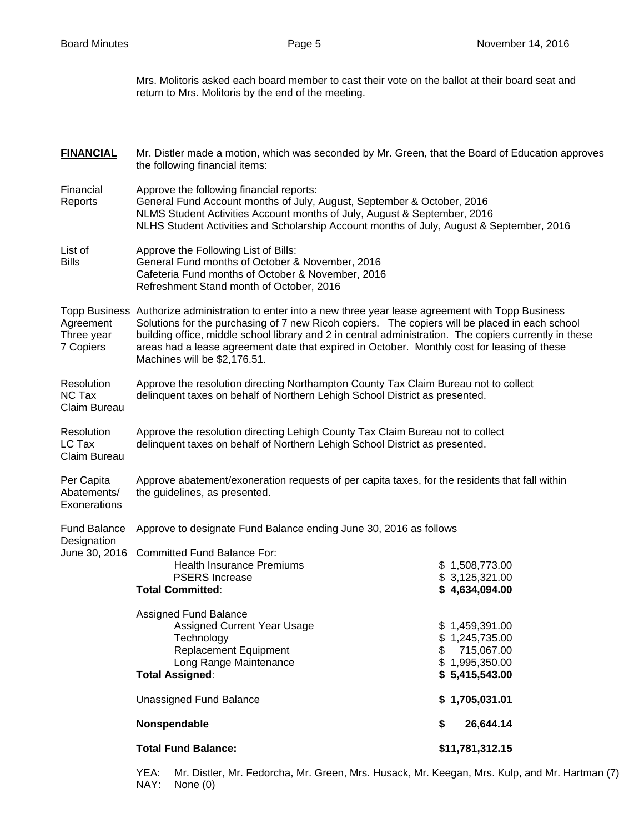Mrs. Molitoris asked each board member to cast their vote on the ballot at their board seat and return to Mrs. Molitoris by the end of the meeting.

| <b>FINANCIAL</b>                            | Mr. Distler made a motion, which was seconded by Mr. Green, that the Board of Education approves<br>the following financial items:                                                                                                                                                                                                                                                                                                                  |                                                                                          |  |  |  |
|---------------------------------------------|-----------------------------------------------------------------------------------------------------------------------------------------------------------------------------------------------------------------------------------------------------------------------------------------------------------------------------------------------------------------------------------------------------------------------------------------------------|------------------------------------------------------------------------------------------|--|--|--|
| Financial<br>Reports                        | Approve the following financial reports:<br>General Fund Account months of July, August, September & October, 2016<br>NLMS Student Activities Account months of July, August & September, 2016<br>NLHS Student Activities and Scholarship Account months of July, August & September, 2016                                                                                                                                                          |                                                                                          |  |  |  |
| List of<br><b>Bills</b>                     | Approve the Following List of Bills:<br>General Fund months of October & November, 2016<br>Cafeteria Fund months of October & November, 2016<br>Refreshment Stand month of October, 2016                                                                                                                                                                                                                                                            |                                                                                          |  |  |  |
| Agreement<br>Three year<br>7 Copiers        | Topp Business Authorize administration to enter into a new three year lease agreement with Topp Business<br>Solutions for the purchasing of 7 new Ricoh copiers. The copiers will be placed in each school<br>building office, middle school library and 2 in central administration. The copiers currently in these<br>areas had a lease agreement date that expired in October. Monthly cost for leasing of these<br>Machines will be \$2,176.51. |                                                                                          |  |  |  |
| Resolution<br><b>NC Tax</b><br>Claim Bureau | Approve the resolution directing Northampton County Tax Claim Bureau not to collect<br>delinquent taxes on behalf of Northern Lehigh School District as presented.                                                                                                                                                                                                                                                                                  |                                                                                          |  |  |  |
| Resolution<br>LC Tax<br>Claim Bureau        | Approve the resolution directing Lehigh County Tax Claim Bureau not to collect<br>delinquent taxes on behalf of Northern Lehigh School District as presented.                                                                                                                                                                                                                                                                                       |                                                                                          |  |  |  |
| Per Capita<br>Abatements/<br>Exonerations   | Approve abatement/exoneration requests of per capita taxes, for the residents that fall within<br>the guidelines, as presented.                                                                                                                                                                                                                                                                                                                     |                                                                                          |  |  |  |
| <b>Fund Balance</b>                         | Approve to designate Fund Balance ending June 30, 2016 as follows                                                                                                                                                                                                                                                                                                                                                                                   |                                                                                          |  |  |  |
| Designation                                 | June 30, 2016 Committed Fund Balance For:<br><b>Health Insurance Premiums</b><br><b>PSERS</b> Increase<br><b>Total Committed:</b>                                                                                                                                                                                                                                                                                                                   | \$1,508,773.00<br>\$3,125,321.00<br>\$4,634,094.00                                       |  |  |  |
|                                             | <b>Assigned Fund Balance</b><br>Assigned Current Year Usage<br>Technology<br><b>Replacement Equipment</b><br>Long Range Maintenance<br><b>Total Assigned:</b>                                                                                                                                                                                                                                                                                       | \$1,459,391.00<br>\$1,245,735.00<br>\$<br>715,067.00<br>\$1,995,350.00<br>\$5,415,543.00 |  |  |  |
|                                             | <b>Unassigned Fund Balance</b>                                                                                                                                                                                                                                                                                                                                                                                                                      | \$1,705,031.01                                                                           |  |  |  |
|                                             | Nonspendable                                                                                                                                                                                                                                                                                                                                                                                                                                        | 26,644.14<br>\$                                                                          |  |  |  |
|                                             | <b>Total Fund Balance:</b><br>\$11,781,312.15                                                                                                                                                                                                                                                                                                                                                                                                       |                                                                                          |  |  |  |
|                                             | YEA:<br>Mr. Distler, Mr. Fedorcha, Mr. Green, Mrs. Husack, Mr. Keegan, Mrs. Kulp, and Mr. Hartman (7)                                                                                                                                                                                                                                                                                                                                               |                                                                                          |  |  |  |

NAY: None (0)